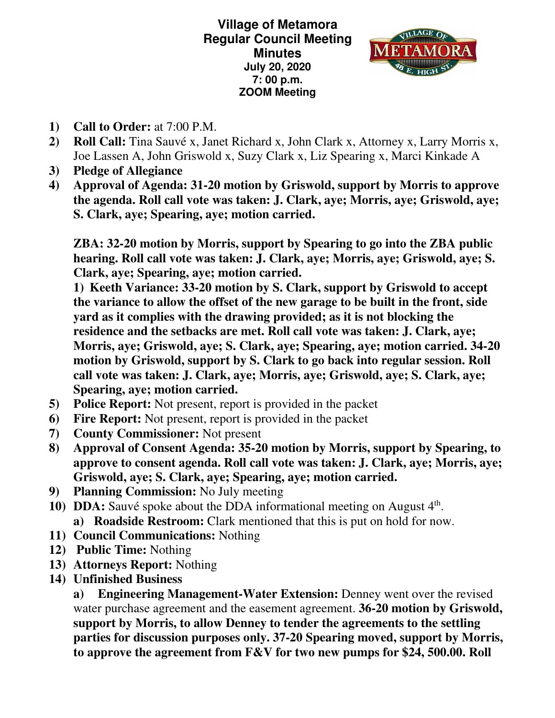**Village of Metamora Regular Council Meeting Minutes July 20, 2020 7: 00 p.m. ZOOM Meeting** 



- **1) Call to Order:** at 7:00 P.M.
- **2) Roll Call:** Tina Sauvé x, Janet Richard x, John Clark x, Attorney x, Larry Morris x, Joe Lassen A, John Griswold x, Suzy Clark x, Liz Spearing x, Marci Kinkade A
- **3) Pledge of Allegiance**
- **4) Approval of Agenda: 31-20 motion by Griswold, support by Morris to approve the agenda. Roll call vote was taken: J. Clark, aye; Morris, aye; Griswold, aye; S. Clark, aye; Spearing, aye; motion carried.**

**ZBA: 32-20 motion by Morris, support by Spearing to go into the ZBA public hearing. Roll call vote was taken: J. Clark, aye; Morris, aye; Griswold, aye; S. Clark, aye; Spearing, aye; motion carried.** 

**1) Keeth Variance: 33-20 motion by S. Clark, support by Griswold to accept the variance to allow the offset of the new garage to be built in the front, side yard as it complies with the drawing provided; as it is not blocking the residence and the setbacks are met. Roll call vote was taken: J. Clark, aye; Morris, aye; Griswold, aye; S. Clark, aye; Spearing, aye; motion carried. 34-20 motion by Griswold, support by S. Clark to go back into regular session. Roll call vote was taken: J. Clark, aye; Morris, aye; Griswold, aye; S. Clark, aye; Spearing, aye; motion carried.** 

- **5) Police Report:** Not present, report is provided in the packet
- **6) Fire Report:** Not present, report is provided in the packet
- **7) County Commissioner:** Not present
- **8) Approval of Consent Agenda: 35-20 motion by Morris, support by Spearing, to approve to consent agenda. Roll call vote was taken: J. Clark, aye; Morris, aye; Griswold, aye; S. Clark, aye; Spearing, aye; motion carried.**
- **9) Planning Commission:** No July meeting
- **10) DDA:** Sauvé spoke about the DDA informational meeting on August 4<sup>th</sup>. **a) Roadside Restroom:** Clark mentioned that this is put on hold for now.
- **11) Council Communications:** Nothing
- **12) Public Time:** Nothing
- **13) Attorneys Report:** Nothing
- **14) Unfinished Business**

**a) Engineering Management-Water Extension:** Denney went over the revised water purchase agreement and the easement agreement. **36-20 motion by Griswold, support by Morris, to allow Denney to tender the agreements to the settling parties for discussion purposes only. 37-20 Spearing moved, support by Morris, to approve the agreement from F&V for two new pumps for \$24, 500.00. Roll**